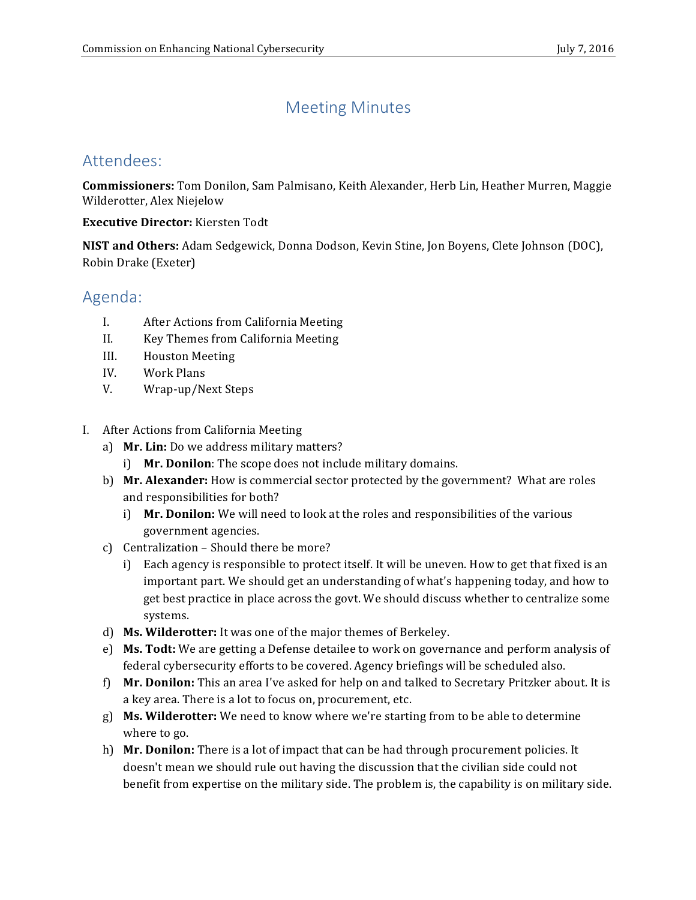# Meeting Minutes

# Attendees:

**Commissioners:** Tom Donilon, Sam Palmisano, Keith Alexander, Herb Lin, Heather Murren, Maggie Wilderotter, Alex Niejelow

**Executive Director:** Kiersten Todt

**NIST and Others:** Adam Sedgewick, Donna Dodson, Kevin Stine, Jon Boyens, Clete Johnson (DOC), Robin Drake (Exeter)

# Agenda:

- I. After Actions from California Meeting
- II. Key Themes from California Meeting
- III. Houston Meeting
- IV. Work Plans
- V. Wrap-up/Next Steps
- I. After Actions from California Meeting
	- a) **Mr. Lin:** Do we address military matters?
		- i) **Mr. Donilon**: The scope does not include military domains.
	- b) Mr. Alexander: How is commercial sector protected by the government? What are roles and responsibilities for both?
		- i) Mr. Donilon: We will need to look at the roles and responsibilities of the various government agencies.
	- c) Centralization Should there be more?
		- i) Each agency is responsible to protect itself. It will be uneven. How to get that fixed is an important part. We should get an understanding of what's happening today, and how to get best practice in place across the govt. We should discuss whether to centralize some systems.
	- d) **Ms. Wilderotter:** It was one of the major themes of Berkeley.
	- e) Ms. Todt: We are getting a Defense detailee to work on governance and perform analysis of federal cybersecurity efforts to be covered. Agency briefings will be scheduled also.
	- f) **Mr. Donilon:** This an area I've asked for help on and talked to Secretary Pritzker about. It is a key area. There is a lot to focus on, procurement, etc.
	- g) **Ms. Wilderotter:** We need to know where we're starting from to be able to determine where to go.
	- h) Mr. Donilon: There is a lot of impact that can be had through procurement policies. It doesn't mean we should rule out having the discussion that the civilian side could not benefit from expertise on the military side. The problem is, the capability is on military side.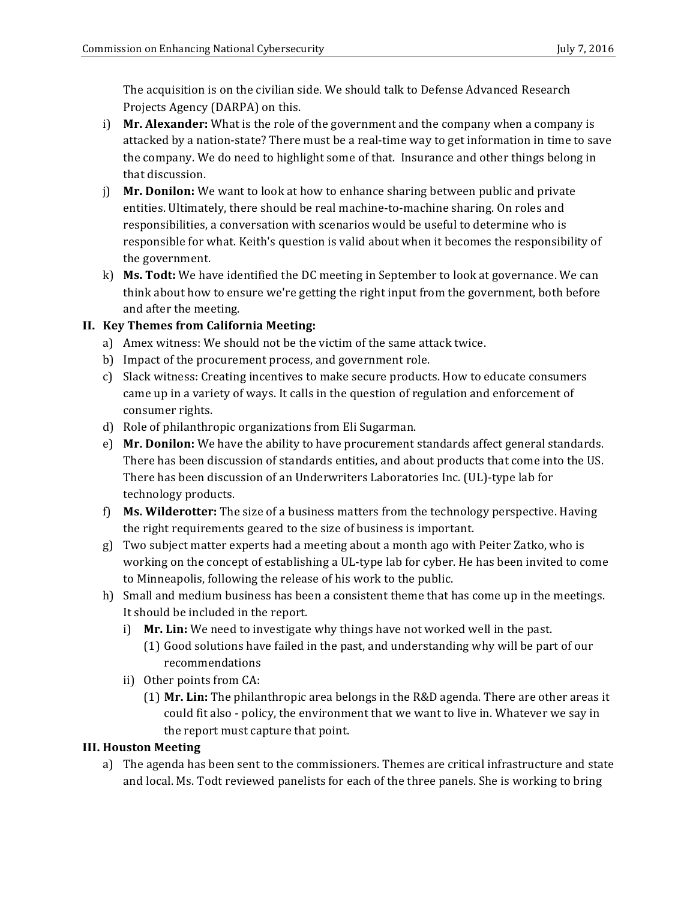The acquisition is on the civilian side. We should talk to Defense Advanced Research Projects Agency (DARPA) on this.

- i) **Mr. Alexander:** What is the role of the government and the company when a company is attacked by a nation-state? There must be a real-time way to get information in time to save the company. We do need to highlight some of that. Insurance and other things belong in that discussion.
- j) **Mr. Donilon:** We want to look at how to enhance sharing between public and private entities. Ultimately, there should be real machine-to-machine sharing. On roles and responsible for what. Keith's question is valid about when it becomes the responsibility of responsibilities, a conversation with scenarios would be useful to determine who is the government.
- k) Ms. Todt: We have identified the DC meeting in September to look at governance. We can think about how to ensure we're getting the right input from the government, both before and after the meeting.

## **II. Key Themes from California Meeting:**

- a) Amex witness: We should not be the victim of the same attack twice.
- b) Impact of the procurement process, and government role.
- c) Slack witness: Creating incentives to make secure products. How to educate consumers came up in a variety of ways. It calls in the question of regulation and enforcement of consumer rights.
- d) Role of philanthropic organizations from Eli Sugarman.
- e) Mr. Donilon: We have the ability to have procurement standards affect general standards. There has been discussion of standards entities, and about products that come into the US. There has been discussion of an Underwriters Laboratories Inc. (UL)-type lab for technology products.
- f) **Ms. Wilderotter:** The size of a business matters from the technology perspective. Having the right requirements geared to the size of business is important.
- g) Two subject matter experts had a meeting about a month ago with Peiter Zatko, who is working on the concept of establishing a UL-type lab for cyber. He has been invited to come to Minneapolis, following the release of his work to the public.
- h) Small and medium business has been a consistent theme that has come up in the meetings. It should be included in the report.
	- i) Mr. Lin: We need to investigate why things have not worked well in the past.
		- (1) Good solutions have failed in the past, and understanding why will be part of our recommendations
	- ii) Other points from CA:
		- (1) Mr. Lin: The philanthropic area belongs in the R&D agenda. There are other areas it could fit also - policy, the environment that we want to live in. Whatever we say in the report must capture that point.

### **III. Houston Meeting**

a) The agenda has been sent to the commissioners. Themes are critical infrastructure and state and local. Ms. Todt reviewed panelists for each of the three panels. She is working to bring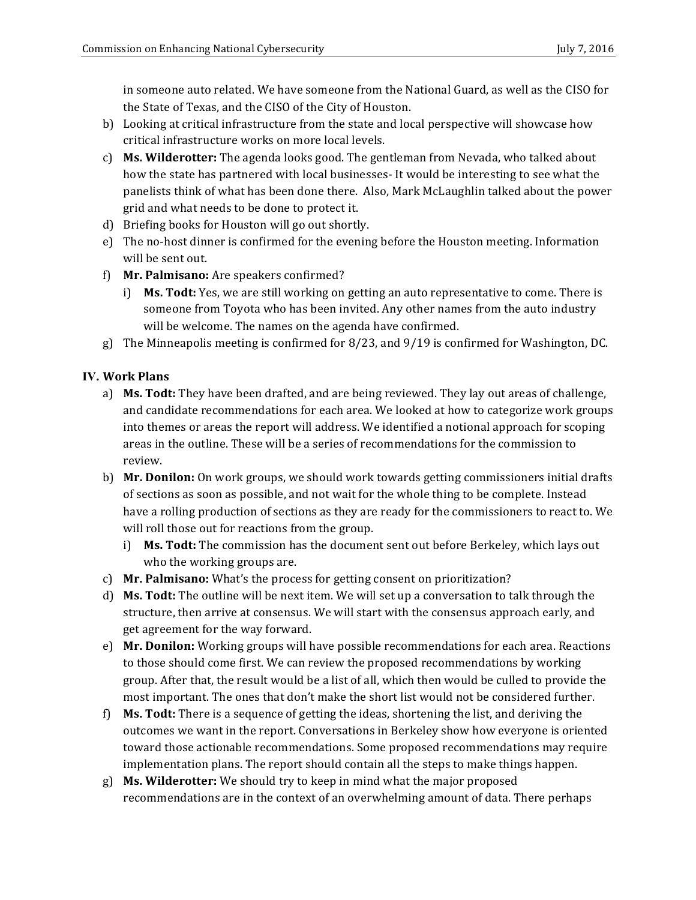in someone auto related. We have someone from the National Guard, as well as the CISO for the State of Texas, and the CISO of the City of Houston.

- b) Looking at critical infrastructure from the state and local perspective will showcase how critical infrastructure works on more local levels.
- c) Ms. Wilderotter: The agenda looks good. The gentleman from Nevada, who talked about how the state has partnered with local businesses- It would be interesting to see what the panelists think of what has been done there. Also, Mark McLaughlin talked about the power grid and what needs to be done to protect it.
- d) Briefing books for Houston will go out shortly.
- e) The no-host dinner is confirmed for the evening before the Houston meeting. Information will be sent out.
- f) **Mr. Palmisano:** Are speakers confirmed?
	- i) **Ms. Todt:** Yes, we are still working on getting an auto representative to come. There is someone from Toyota who has been invited. Any other names from the auto industry will be welcome. The names on the agenda have confirmed.
- g) The Minneapolis meeting is confirmed for 8/23, and 9/19 is confirmed for Washington, DC.

### **IV. Work Plans**

- a) Ms. Todt: They have been drafted, and are being reviewed. They lay out areas of challenge, and candidate recommendations for each area. We looked at how to categorize work groups into themes or areas the report will address. We identified a notional approach for scoping areas in the outline. These will be a series of recommendations for the commission to review.
- b) **Mr. Donilon:** On work groups, we should work towards getting commissioners initial drafts of sections as soon as possible, and not wait for the whole thing to be complete. Instead have a rolling production of sections as they are ready for the commissioners to react to. We will roll those out for reactions from the group.
	- i) **Ms. Todt:** The commission has the document sent out before Berkeley, which lays out who the working groups are.
- c) **Mr. Palmisano:** What's the process for getting consent on prioritization?
- d) **Ms. Todt:** The outline will be next item. We will set up a conversation to talk through the structure, then arrive at consensus. We will start with the consensus approach early, and get agreement for the way forward.
- e) **Mr. Donilon:** Working groups will have possible recommendations for each area. Reactions to those should come first. We can review the proposed recommendations by working group. After that, the result would be a list of all, which then would be culled to provide the most important. The ones that don't make the short list would not be considered further.
- f) **Ms. Todt:** There is a sequence of getting the ideas, shortening the list, and deriving the outcomes we want in the report. Conversations in Berkeley show how everyone is oriented toward those actionable recommendations. Some proposed recommendations may require implementation plans. The report should contain all the steps to make things happen.
- g) Ms. Wilderotter: We should try to keep in mind what the major proposed recommendations are in the context of an overwhelming amount of data. There perhaps